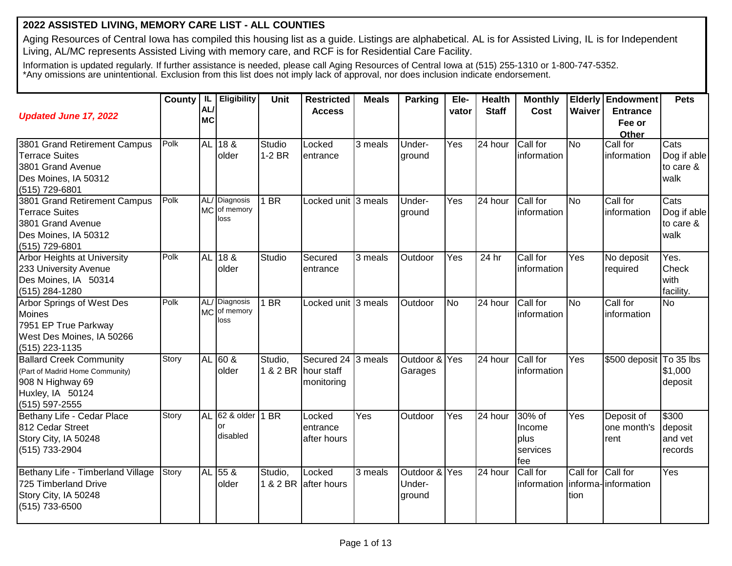## **2022 ASSISTED LIVING, MEMORY CARE LIST - ALL COUNTIES**

Aging Resources of Central Iowa has compiled this housing list as a guide. Listings are alphabetical. AL is for Assisted Living, IL is for Independent Living, AL/MC represents Assisted Living with memory care, and RCF is for Residential Care Facility.

Information is updated regularly. If further assistance is needed, please call Aging Resources of Central Iowa at (515) 255-1310 or 1-800-747-5352. \*Any omissions are unintentional. Exclusion from this list does not imply lack of approval, nor does inclusion indicate endorsement.

| <b>Updated June 17, 2022</b>                                                                                                | County | L <br>AL/<br><b>MC</b> | Eligibility                           | Unit                           | <b>Restricted</b><br><b>Access</b> | <b>Meals</b> | <b>Parking</b>                    | Ele-<br>vator | <b>Health</b><br><b>Staff</b> | <b>Monthly</b><br><b>Cost</b>               | Waiver                    | <b>Elderly Endowment</b><br><b>Entrance</b><br>Fee or | <b>Pets</b>                            |
|-----------------------------------------------------------------------------------------------------------------------------|--------|------------------------|---------------------------------------|--------------------------------|------------------------------------|--------------|-----------------------------------|---------------|-------------------------------|---------------------------------------------|---------------------------|-------------------------------------------------------|----------------------------------------|
| 3801 Grand Retirement Campus<br><b>Terrace Suites</b><br>3801 Grand Avenue                                                  | Polk   | <b>AL</b>              | 188<br>older                          | Studio<br>$1-2$ BR             | Locked<br>entrance                 | 3 meals      | Under-<br>ground                  | Yes           | $\overline{24}$ hour          | Call for<br>information                     | <b>No</b>                 | Other<br>Call for<br>information                      | Cats<br>Dog if able<br>to care &       |
| Des Moines, IA 50312<br>(515) 729-6801<br>3801 Grand Retirement Campus                                                      | Polk   | AL/                    | Diagnosis                             | $\overline{\mathsf{BR}}$       | Locked unit 3 meals                |              | Under-                            | Yes           | $\overline{24}$ hour          | Call for                                    | <b>No</b>                 | Call for                                              | walk<br>Cats                           |
| <b>Terrace Suites</b><br>3801 Grand Avenue<br>Des Moines, IA 50312<br>(515) 729-6801                                        |        |                        | MC of memory<br>loss                  |                                |                                    |              | ground                            |               |                               | information                                 |                           | information                                           | Dog if able<br>to care &<br>walk       |
| Arbor Heights at University<br>233 University Avenue<br>Des Moines, IA 50314<br>(515) 284-1280                              | Polk   | <b>AL</b>              | 18 <sub>8</sub><br>older              | Studio                         | Secured<br>entrance                | 3 meals      | Outdoor                           | Yes           | $\overline{2}$ 4 hr           | Call for<br>linformation                    | Yes                       | No deposit<br>required                                | Yes.<br>Check<br>with<br>facility.     |
| Arbor Springs of West Des<br>Moines<br>7951 EP True Parkway<br>West Des Moines, IA 50266<br>(515) 223-1135                  | Polk   |                        | AL/ Diagnosis<br>MC of memory<br>loss | 1 BR                           | Locked unit 3 meals                |              | Outdoor                           | <b>No</b>     | 24 hour                       | Call for<br>information                     | <b>No</b>                 | Call for<br>information                               | <b>No</b>                              |
| <b>Ballard Creek Community</b><br>(Part of Madrid Home Community)<br>908 N Highway 69<br>Huxley, IA 50124<br>(515) 597-2555 | Story  |                        | AL 60 &<br>older                      | Studio,<br>1 & 2 BR hour staff | Secured 24<br>monitoring           | 3 meals      | Outdoor & Yes<br>Garages          |               | 24 hour                       | Call for<br>information                     | Yes                       | \$500 deposit To 35 lbs                               | \$1,000<br>deposit                     |
| Bethany Life - Cedar Place<br>812 Cedar Street<br>Story City, IA 50248<br>(515) 733-2904                                    | Story  | <b>AL</b>              | 62 & older   1 BR<br>or<br>disabled   |                                | Locked<br>entrance<br>after hours  | Yes          | Outdoor                           | Yes           | 24 hour                       | 30% of<br>Income<br>plus<br>services<br>fee | Yes                       | Deposit of<br>one month's<br>rent                     | \$300<br>deposit<br>and vet<br>records |
| Bethany Life - Timberland Village<br>725 Timberland Drive<br>Story City, IA 50248<br>(515) 733-6500                         | Story  |                        | AL 55 &<br>older                      | Studio,                        | Locked<br>1 & 2 BR after hours     | 3 meals      | Outdoor & Yes<br>Under-<br>ground |               | 24 hour                       | Call for<br>information informa-information | Call for Call for<br>tion |                                                       | Yes                                    |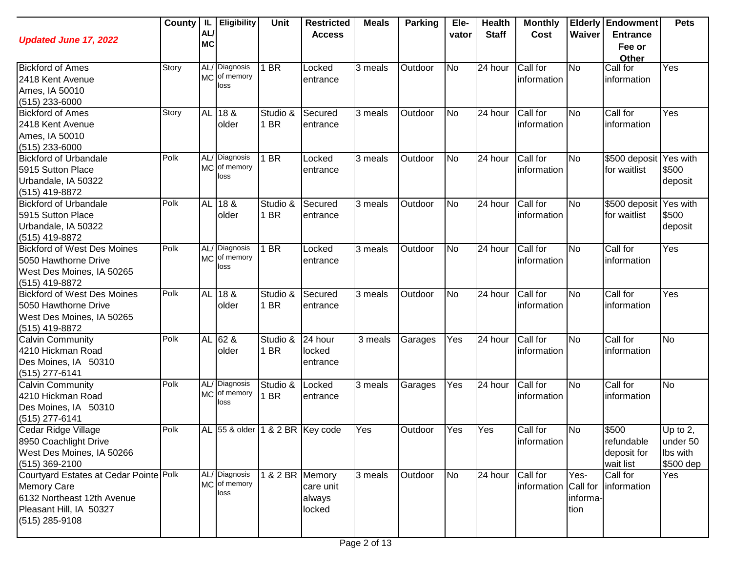| <b>Updated June 17, 2022</b>                                                                                                            | County | IL.<br><b>AL</b><br><b>MC</b> | <b>Eligibility</b>                    | <b>Unit</b>             | <b>Restricted</b><br><b>Access</b> | <b>Meals</b> | <b>Parking</b> | Ele-<br>vator          | <b>Health</b><br><b>Staff</b> | <b>Monthly</b><br>Cost           | Waiver                   | <b>Elderly Endowment</b><br><b>Entrance</b><br>Fee or<br>Other | <b>Pets</b>                                   |
|-----------------------------------------------------------------------------------------------------------------------------------------|--------|-------------------------------|---------------------------------------|-------------------------|------------------------------------|--------------|----------------|------------------------|-------------------------------|----------------------------------|--------------------------|----------------------------------------------------------------|-----------------------------------------------|
| <b>Bickford of Ames</b><br>2418 Kent Avenue<br>Ames, IA 50010<br>$(515)$ 233-6000                                                       | Story  |                               | AL/ Diagnosis<br>MC of memory<br>loss | I BR                    | Locked<br>entrance                 | 3 meals      | Outdoor        | <b>No</b>              | 24 hour                       | Call for<br>information          | <b>No</b>                | Call for<br>information                                        | Yes                                           |
| <b>Bickford of Ames</b><br>2418 Kent Avenue<br>Ames, IA 50010<br>$(515)$ 233-6000                                                       | Story  |                               | AL 18 &<br>older                      | Studio &<br>1 BR        | Secured<br>entrance                | 3 meals      | Outdoor        | $\overline{\text{No}}$ | $\overline{24}$ hour          | Call for<br>information          | <b>No</b>                | Call for<br>information                                        | Yes                                           |
| <b>Bickford of Urbandale</b><br>5915 Sutton Place<br>Urbandale, IA 50322<br>(515) 419-8872                                              | Polk   |                               | AL/ Diagnosis<br>MC of memory<br>loss | 1 BR                    | Locked<br>entrance                 | 3 meals      | Outdoor        | <b>No</b>              | 24 hour                       | Call for<br>information          | N <sub>o</sub>           | \$500 deposit   Yes with<br>for waitlist                       | \$500<br>deposit                              |
| <b>Bickford of Urbandale</b><br>5915 Sutton Place<br>Urbandale, IA 50322<br>(515) 419-8872                                              | Polk   |                               | AL 18 &<br>older                      | Studio &<br>1 BR        | Secured<br>entrance                | 3 meals      | Outdoor        | <b>No</b>              | 24 hour                       | Call for<br>information          | <b>No</b>                | \$500 deposit<br>for waitlist                                  | Yes with<br>\$500<br>deposit                  |
| <b>Bickford of West Des Moines</b><br>5050 Hawthorne Drive<br>West Des Moines, IA 50265<br>(515) 419-8872                               | Polk   |                               | AL/ Diagnosis<br>MC of memory<br>loss | $\overline{BR}$         | Locked<br>entrance                 | 3 meals      | Outdoor        | <b>No</b>              | 24 hour                       | Call for<br>information          | <b>No</b>                | Call for<br>information                                        | Yes                                           |
| <b>Bickford of West Des Moines</b><br>5050 Hawthorne Drive<br>West Des Moines, IA 50265<br>(515) 419-8872                               | Polk   | <b>AL</b>                     | 188<br>older                          | Studio &<br>1 BR        | Secured<br>entrance                | 3 meals      | Outdoor        | <b>No</b>              | $\overline{24}$ hour          | Call for<br>information          | <b>No</b>                | Call for<br>information                                        | Yes                                           |
| <b>Calvin Community</b><br>4210 Hickman Road<br>Des Moines, IA 50310<br>(515) 277-6141                                                  | Polk   | <b>AL</b>                     | $62$ &<br>older                       | Studio &<br>1 BR        | 24 hour<br>locked<br>entrance      | 3 meals      | Garages        | Yes                    | 24 hour                       | Call for<br>information          | <b>No</b>                | Call for<br>information                                        | <b>No</b>                                     |
| <b>Calvin Community</b><br>4210 Hickman Road<br>Des Moines, IA 50310<br>(515) 277-6141                                                  | Polk   |                               | AL/ Diagnosis<br>MC of memory<br>loss | Studio &<br>1 BR        | Locked<br>entrance                 | 3 meals      | Garages        | Yes                    | 24 hour                       | Call for<br>information          | <b>No</b>                | Call for<br>information                                        | <b>No</b>                                     |
| Cedar Ridge Village<br>8950 Coachlight Drive<br>West Des Moines, IA 50266<br>(515) 369-2100                                             | Polk   |                               | AL 55 & older 1 & 2 BR Key code       |                         |                                    | <b>T</b> es  | Outdoor        | Yes                    | <b>Yes</b>                    | Call for<br>information          | N <sub>o</sub>           | \$500<br>refundable<br>deposit for<br>wait list                | Up to 2.<br>under 50<br>Ibs with<br>\$500 dep |
| Courtyard Estates at Cedar Pointe Polk<br><b>Memory Care</b><br>6132 Northeast 12th Avenue<br>Pleasant Hill, IA 50327<br>(515) 285-9108 |        |                               | AL/ Diagnosis<br>MC of memory<br>loss | $\sqrt{18}$ 2 BR Memory | care unit<br>always<br>locked      | 3 meals      | Outdoor        | <b>No</b>              | 24 hour                       | Call for<br>information Call for | Yes-<br>informa-<br>tion | Call for<br>information                                        | Yes                                           |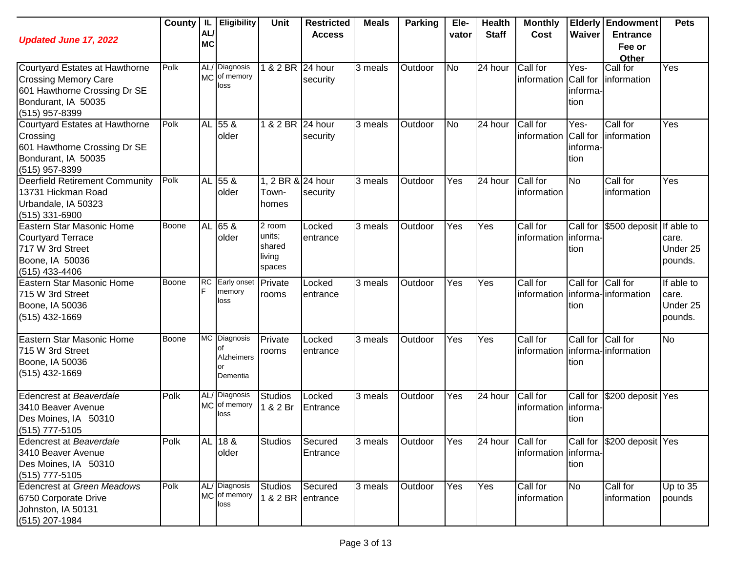| <b>Updated June 17, 2022</b>                                                                                                           | County | AL/<br><b>MC</b> | IL   Eligibility                                   | Unit                                           | <b>Restricted</b><br><b>Access</b> | <b>Meals</b> | Parking | Ele-<br>vator | <b>Health</b><br><b>Staff</b> | <b>Monthly</b><br>Cost  | <b>Waiver</b>                        | <b>Elderly Endowment</b><br><b>Entrance</b><br>Fee or<br>Other | <b>Pets</b>                                |
|----------------------------------------------------------------------------------------------------------------------------------------|--------|------------------|----------------------------------------------------|------------------------------------------------|------------------------------------|--------------|---------|---------------|-------------------------------|-------------------------|--------------------------------------|----------------------------------------------------------------|--------------------------------------------|
| Courtyard Estates at Hawthorne<br><b>Crossing Memory Care</b><br>601 Hawthorne Crossing Dr SE<br>Bondurant, IA 50035<br>(515) 957-8399 | Polk   |                  | AL/ Diagnosis<br>MC of memory<br>loss              | 1 & 2 BR 24 hour                               | security                           | 3 meals      | Outdoor | <b>No</b>     | 24 hour                       | Call for<br>information | Yes-<br>Call for<br>informa-<br>tion | Call for<br>information                                        | Yes                                        |
| Courtyard Estates at Hawthorne<br>Crossing<br>601 Hawthorne Crossing Dr SE<br>Bondurant, IA 50035<br>(515) 957-8399                    | Polk   |                  | AL 55 &<br>older                                   | 1 & 2 BR 24 hour                               | security                           | 3 meals      | Outdoor | No            | 24 hour                       | Call for<br>information | Yes-<br>Call for<br>informa-<br>tion | Call for<br>information                                        | $\overline{Yes}$                           |
| <b>Deerfield Retirement Community</b><br>13731 Hickman Road<br>Urbandale, IA 50323<br>$(515)$ 331-6900                                 | Polk   |                  | AL 55 &<br>older                                   | 1, 2 BR & 24 hour<br>Town-<br>homes            | security                           | 3 meals      | Outdoor | Yes           | 24 hour                       | Call for<br>information | No                                   | Call for<br>information                                        | Yes                                        |
| Eastern Star Masonic Home<br><b>Courtyard Terrace</b><br>717 W 3rd Street<br>Boone, IA 50036<br>(515) 433-4406                         | Boone  |                  | AL 65 &<br>older                                   | 2 room<br>units;<br>shared<br>living<br>spaces | Locked<br>entrance                 | 3 meals      | Outdoor | Yes           | Yes                           | Call for<br>information | Call for<br>informa-<br>tion         | \$500 deposit If able to                                       | care.<br>Under 25<br>pounds.               |
| Eastern Star Masonic Home<br>715 W 3rd Street<br>Boone, IA 50036<br>(515) 432-1669                                                     | Boone  | <b>RC</b>        | Early onset<br>memory<br>loss                      | Private<br>rooms                               | Locked<br>entrance                 | 3 meals      | Outdoor | Yes           | Yes                           | Call for<br>information | Call for Call for<br>tion            | informa-linformation                                           | If able to<br>care.<br>Under 25<br>pounds. |
| Eastern Star Masonic Home<br>715 W 3rd Street<br>Boone, IA 50036<br>(515) 432-1669                                                     | Boone  |                  | MC Diagnosis<br>οf<br>Alzheimers<br>or<br>Dementia | Private<br>rooms                               | Locked<br>entrance                 | 3 meals      | Outdoor | Yes           | Yes                           | Call for<br>information | Call for Call for<br>tion            | informa-linformation                                           | <b>No</b>                                  |
| Edencrest at Beaverdale<br>3410 Beaver Avenue<br>Des Moines, IA 50310<br>(515) 777-5105                                                | Polk   |                  | AL/ Diagnosis<br>MC of memory<br>loss              | <b>Studios</b><br>1 & 2 Br                     | Locked<br>Entrance                 | 3 meals      | Outdoor | Yes           | 24 hour                       | Call for<br>information | Call for<br>informa-<br>tion         | \$200 deposit Yes                                              |                                            |
| Edencrest at Beaverdale<br>3410 Beaver Avenue<br>Des Moines, IA 50310<br>$(515)$ 777-5105                                              | Polk   |                  | AL 18 &<br>older                                   | <b>Studios</b>                                 | Secured<br>Entrance                | 3 meals      | Outdoor | Yes           | 24 hour                       | Call for<br>information | informa-<br>tion                     | Call for \$200 deposit Yes                                     |                                            |
| <b>Edencrest at Green Meadows</b><br>6750 Corporate Drive<br>Johnston, IA 50131<br>(515) 207-1984                                      | Polk   |                  | AL/ Diagnosis<br>MC of memory<br>loss              | <b>Studios</b><br>1 & 2 BR entrance            | Secured                            | 3 meals      | Outdoor | Yes           | Yes                           | Call for<br>information | <b>No</b>                            | Call for<br>information                                        | Up to 35<br>pounds                         |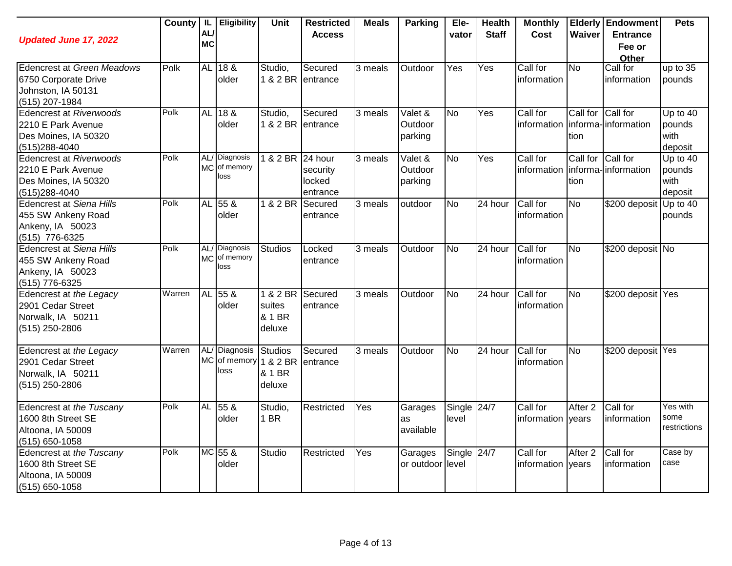| <b>Updated June 17, 2022</b>                                                                   |        | AL<br><b>MC</b> | County   IL   Eligibility             | Unit                                           | <b>Restricted</b><br><b>Access</b>        | <b>Meals</b> | <b>Parking</b>                | Ele-<br>vator          | <b>Health</b><br><b>Staff</b> | <b>Monthly</b><br><b>Cost</b> | Waiver                    | <b>Elderly Endowment</b><br><b>Entrance</b><br>Fee or<br>Other | <b>Pets</b>                             |
|------------------------------------------------------------------------------------------------|--------|-----------------|---------------------------------------|------------------------------------------------|-------------------------------------------|--------------|-------------------------------|------------------------|-------------------------------|-------------------------------|---------------------------|----------------------------------------------------------------|-----------------------------------------|
| Edencrest at Green Meadows<br>6750 Corporate Drive<br>Johnston, IA 50131<br>(515) 207-1984     | Polk   |                 | AL 18 &<br>older                      | Studio,<br>1 & 2 BR                            | Secured<br>entrance                       | 3 meals      | Outdoor                       | Yes                    | Yes                           | Call for<br>information       | <b>No</b>                 | Call for<br>information                                        | $up$ to 35<br>pounds                    |
| <b>Edencrest at Riverwoods</b><br>2210 E Park Avenue<br>Des Moines, IA 50320<br>(515) 288-4040 | Polk   |                 | AL 18 &<br>older                      | Studio,<br>1 & 2 BR                            | Secured<br>lentrance                      | 3 meals      | Valet &<br>Outdoor<br>parking | $\overline{N}$         | Yes                           | Call for<br>information       | Call for Call for<br>tion | informa-information                                            | Up to $40$<br>pounds<br>with<br>deposit |
| <b>Edencrest at Riverwoods</b><br>2210 E Park Avenue<br>Des Moines, IA 50320<br>(515)288-4040  | Polk   |                 | AL/ Diagnosis<br>MC of memory<br>loss | $1 & 2$ BR                                     | 24 hour<br>security<br>locked<br>entrance | 3 meals      | Valet &<br>Outdoor<br>parking | N <sub>0</sub>         | Yes                           | Call for<br>information       | Call for<br>tion          | Call for<br>informa-information                                | Up to 40<br>pounds<br>with<br>deposit   |
| <b>Edencrest at Siena Hills</b><br>455 SW Ankeny Road<br>Ankeny, IA 50023<br>(515) 776-6325    | Polk   |                 | AL 55 &<br>older                      | 1 & 2 BR                                       | Secured<br>entrance                       | 3 meals      | outdoor                       | <b>No</b>              | 24 hour                       | Call for<br>information       | <b>No</b>                 | \$200 deposit                                                  | Up to $40$<br>pounds                    |
| <b>Edencrest at Siena Hills</b><br>455 SW Ankeny Road<br>Ankeny, IA 50023<br>(515) 776-6325    | Polk   |                 | AL/ Diagnosis<br>MC of memory<br>loss | <b>Studios</b>                                 | Locked<br>entrance                        | 3 meals      | Outdoor                       | <b>No</b>              | 24 hour                       | Call for<br>information       | <b>No</b>                 | \$200 deposit No                                               |                                         |
| Edencrest at the Legacy<br>2901 Cedar Street<br>Norwalk, IA 50211<br>(515) 250-2806            | Warren | <b>AL</b>       | 558<br>older                          | 1 & 2 BR<br>suites<br>& 1 BR<br>deluxe         | Secured<br>entrance                       | 3 meals      | Outdoor                       | $\overline{N}$         | 24 hour                       | Call for<br>information       | $\overline{N}$            | \$200 deposit Yes                                              |                                         |
| Edencrest at the Legacy<br>2901 Cedar Street<br>Norwalk, IA 50211<br>(515) 250-2806            | Warren |                 | AL/ Diagnosis<br>MC of memory<br>loss | <b>Studios</b><br>1 & 2 BR<br>& 1 BR<br>deluxe | Secured<br>entrance                       | 3 meals      | Outdoor                       | <b>No</b>              | 24 hour                       | Call for<br>information       | $\overline{N}$            | \$200 deposit Yes                                              |                                         |
| Edencrest at the Tuscany<br>1600 8th Street SE<br>Altoona, IA 50009<br>(515) 650-1058          | Polk   | <b>AL</b>       | 55 &<br>older                         | Studio,<br>1 BR                                | Restricted                                | Yes          | Garages<br>as<br>available    | Single $24/7$<br>level |                               | Call for<br>information years | After <sub>2</sub>        | Call for<br>information                                        | Yes with<br>some<br>restrictions        |
| Edencrest at the Tuscany<br>1600 8th Street SE<br>Altoona, IA 50009<br>(515) 650-1058          | Polk   |                 | MC 55 &<br>older                      | Studio                                         | Restricted                                | Yes          | Garages<br>or outdoor         | Single 24/7<br>level   |                               | Call for<br>information years | After <sub>2</sub>        | Call for<br>information                                        | $\overline{\text{Case}}$ by<br>case     |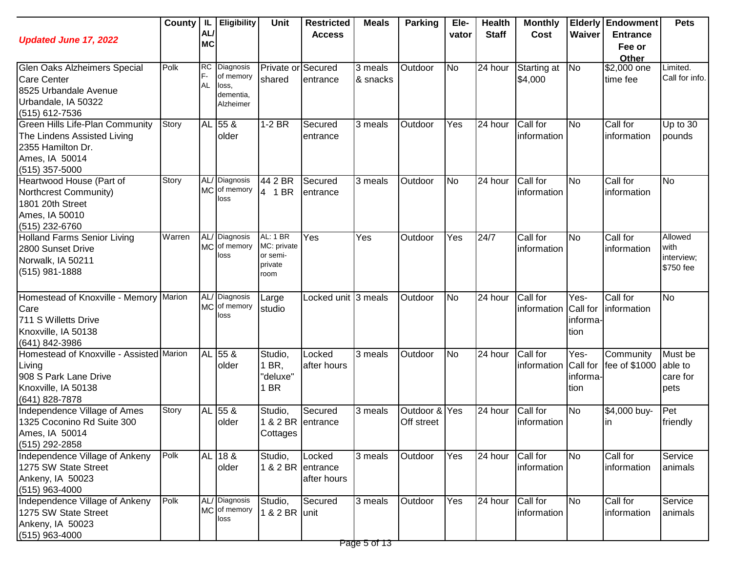| <b>Updated June 17, 2022</b>                                                                                                     | County | -IL<br>AL<br><b>MC</b>       | <b>Eligibility</b>                                        | <b>Unit</b>                                                   | <b>Restricted</b><br><b>Access</b> | <b>Meals</b>         | <b>Parking</b>          | Ele-<br>vator  | <b>Health</b><br><b>Staff</b> | <b>Monthly</b><br>Cost  | Waiver                               | <b>Elderly Endowment</b><br><b>Entrance</b><br>Fee or<br>Other | <b>Pets</b>                                |
|----------------------------------------------------------------------------------------------------------------------------------|--------|------------------------------|-----------------------------------------------------------|---------------------------------------------------------------|------------------------------------|----------------------|-------------------------|----------------|-------------------------------|-------------------------|--------------------------------------|----------------------------------------------------------------|--------------------------------------------|
| Glen Oaks Alzheimers Special<br><b>Care Center</b><br>8525 Urbandale Avenue<br>Urbandale, IA 50322<br>(515) 612-7536             | Polk   | <b>RC</b><br>F-<br><b>AL</b> | Diagnosis<br>of memory<br>loss,<br>dementia,<br>Alzheimer | Private or<br>shared                                          | Secured<br>entrance                | 3 meals<br>& snacks  | Outdoor                 | <b>No</b>      | 24 hour                       | Starting at<br>\$4,000  | No                                   | \$2,000 one<br>time fee                                        | Limited.<br>Call for info.                 |
| <b>Green Hills Life-Plan Community</b><br>The Lindens Assisted Living<br>2355 Hamilton Dr.<br>Ames, IA 50014<br>$(515)$ 357-5000 | Story  |                              | AL 55 &<br>older                                          | 1-2 BR                                                        | Secured<br>entrance                | 3 meals              | Outdoor                 | Yes            | 24 hour                       | Call for<br>information | <b>No</b>                            | Call for<br>information                                        | Up to 30<br>pounds                         |
| Heartwood House (Part of<br>Northcrest Community)<br>1801 20th Street<br>Ames, IA 50010<br>(515) 232-6760                        | Story  |                              | AL/ Diagnosis<br>MC of memory<br>loss                     | 44 2 BR<br>4 1 BR                                             | Secured<br>entrance                | 3 meals              | Outdoor                 | No             | 24 hour                       | Call for<br>information | <b>No</b>                            | Call for<br>information                                        | <b>No</b>                                  |
| <b>Holland Farms Senior Living</b><br>2800 Sunset Drive<br>Norwalk, IA 50211<br>(515) 981-1888                                   | Warren | <b>MC</b>                    | AL/ Diagnosis<br>of memory<br>loss                        | <b>AL: 1 BR</b><br>MC: private<br>or semi-<br>private<br>room | Yes                                | Yes                  | Outdoor                 | Yes            | 24/7                          | Call for<br>information | <b>No</b>                            | Call for<br>information                                        | Allowed<br>with<br>interview;<br>\$750 fee |
| Homestead of Knoxville - Memory Marion<br>Care<br>711 S Willetts Drive<br>Knoxville, IA 50138<br>(641) 842-3986                  |        |                              | AL/ Diagnosis<br>MC of memory<br>loss                     | Large<br>studio                                               | Locked unit 3 meals                |                      | Outdoor                 | No             | 24 hour                       | Call for<br>information | Yes-<br>Call for<br>informa-<br>tion | Call for<br>information                                        | <b>No</b>                                  |
| Homestead of Knoxville - Assisted Marion<br>Living<br>908 S Park Lane Drive<br>Knoxville, IA 50138<br>(641) 828-7878             |        |                              | AL 55 &<br>older                                          | Studio,<br>1 BR.<br>"deluxe"<br>1 BR                          | Locked<br>lafter hours             | 3 meals              | Outdoor                 | N <sub>o</sub> | 24 hour                       | Call for<br>information | Yes-<br>Call for<br>informa-<br>tion | Community<br>fee of \$1000                                     | Must be<br>able to<br>care for<br>pets     |
| Independence Village of Ames<br>1325 Coconino Rd Suite 300<br>Ames, IA 50014<br>(515) 292-2858                                   | Story  | <b>AL</b>                    | 55 &<br>older                                             | Studio,<br>1 & 2 BR entrance<br>Cottages                      | Secured                            | 3 meals              | Outdoor &<br>Off street | Yes            | 24 hour                       | Call for<br>information | <b>No</b>                            | \$4,000 buy-<br>ın                                             | Pet<br>friendly                            |
| Independence Village of Ankeny<br>1275 SW State Street<br>Ankeny, IA 50023<br>(515) 963-4000                                     | Polk   |                              | AL 18 &<br>older                                          | Studio,<br>1 & 2 BR entrance                                  | Locked<br>after hours              | $\overline{3}$ meals | Outdoor                 | Yes            | 24 hour                       | Call for<br>information | <b>No</b>                            | Call for<br>information                                        | Service<br>animals                         |
| Independence Village of Ankeny<br>1275 SW State Street<br>Ankeny, IA 50023<br>$(515)$ 963-4000                                   | Polk   |                              | AL/ Diagnosis<br>MC of memory<br>loss                     | Studio,<br>1 & 2 BR unit                                      | Secured                            | 3 meals              | Outdoor                 | Yes            | 24 hour                       | Call for<br>information | No                                   | Call for<br>information                                        | Service<br>animals                         |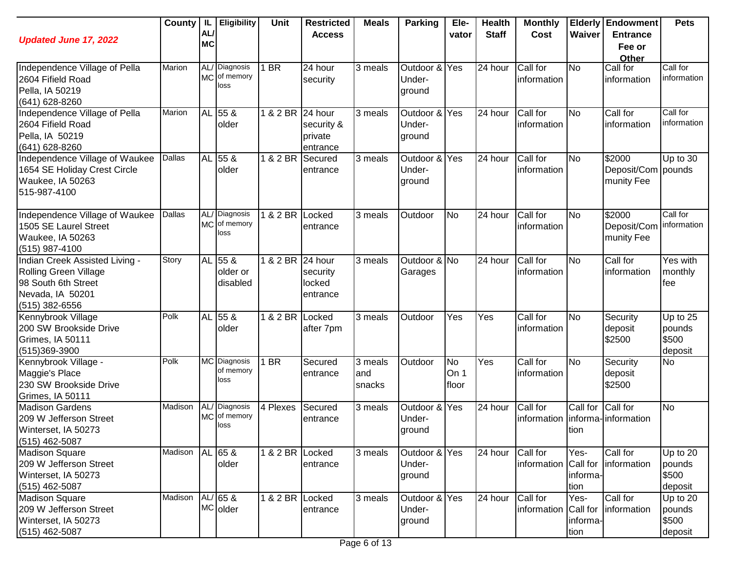| <b>Updated June 17, 2022</b>                                                                                         | County  | AL/<br><b>MC</b> | IL   Eligibility                      | Unit             | <b>Restricted</b><br><b>Access</b>        | <b>Meals</b>              | <b>Parking</b>                    | Ele-<br>vator              | <b>Health</b><br><b>Staff</b> | <b>Monthly</b><br>Cost           | Waiver                               | <b>Elderly Endowment</b><br><b>Entrance</b><br>Fee or<br>Other | <b>Pets</b>                              |
|----------------------------------------------------------------------------------------------------------------------|---------|------------------|---------------------------------------|------------------|-------------------------------------------|---------------------------|-----------------------------------|----------------------------|-------------------------------|----------------------------------|--------------------------------------|----------------------------------------------------------------|------------------------------------------|
| Independence Village of Pella<br>2604 Fifield Road<br>Pella, IA 50219<br>(641) 628-8260                              | Marion  |                  | AL/ Diagnosis<br>MC of memory<br>loss | 1 BR             | 24 hour<br>security                       | 3 meals                   | Outdoor & Yes<br>Under-<br>ground |                            | 24 hour                       | Call for<br>information          | <b>No</b>                            | Call for<br>information                                        | Call for<br>information                  |
| Independence Village of Pella<br>2604 Fifield Road<br>Pella, IA 50219<br>(641) 628-8260                              | Marion  |                  | AL 55 &<br>older                      | 1 & 2 BR 24 hour | security &<br>private<br>entrance         | 3 meals                   | Outdoor & Yes<br>Under-<br>ground |                            | 24 hour                       | Call for<br>information          | No                                   | Call for<br>information                                        | Call for<br>information                  |
| Independence Village of Waukee<br>1654 SE Holiday Crest Circle<br>Waukee, IA 50263<br>515-987-4100                   | Dallas  |                  | AL 55 &<br>older                      | 1 & 2 BR         | Secured<br>entrance                       | $\overline{3}$ meals      | Outdoor &<br>Under-<br>ground     | Yes                        | 24 hour                       | Call for<br>information          | <b>No</b>                            | \$2000<br>Deposit/Com pounds<br>munity Fee                     | Up to $30$                               |
| Independence Village of Waukee<br>1505 SE Laurel Street<br>Waukee, IA 50263<br>(515) 987-4100                        | Dallas  |                  | AL/ Diagnosis<br>MC of memory<br>loss | 82BR             | Locked<br>entrance                        | 3 meals                   | Outdoor                           | <b>No</b>                  | 24 hour                       | Call for<br>information          | <b>No</b>                            | \$2000<br>Deposit/Com<br>munity Fee                            | Call for<br>information                  |
| Indian Creek Assisted Living -<br>Rolling Green Village<br>98 South 6th Street<br>Nevada, IA 50201<br>(515) 382-6556 | Story   |                  | AL 55 &<br>older or<br>disabled       | $1 & 2$ BR       | 24 hour<br>security<br>locked<br>entrance | $\overline{3}$ meals      | Outdoor & No<br>Garages           |                            | 24 hour                       | Call for<br>information          | $\overline{\text{No}}$               | Call for<br>information                                        | Yes with<br>monthly<br>fee               |
| Kennybrook Village<br>200 SW Brookside Drive<br>Grimes, IA 50111<br>(515)369-3900                                    | Polk    |                  | AL 55 &<br>older                      | $1 & 2$ BR       | Locked<br>after 7pm                       | 3 meals                   | Outdoor                           | Yes                        | Yes                           | Call for<br>information          | $\overline{\text{No}}$               | Security<br>deposit<br>\$2500                                  | Up to $25$<br>pounds<br>\$500<br>deposit |
| Kennybrook Village -<br>Maggie's Place<br>230 SW Brookside Drive<br>Grimes, IA 50111                                 | Polk    |                  | MC Diagnosis<br>of memory<br>loss     | 1 BR             | Secured<br>entrance                       | 3 meals<br>land<br>snacks | Outdoor                           | <b>No</b><br>On 1<br>floor | Yes                           | Call for<br>information          | No                                   | Security<br>deposit<br>\$2500                                  | <b>No</b>                                |
| <b>Madison Gardens</b><br>209 W Jefferson Street<br>Winterset, IA 50273<br>(515) 462-5087                            | Madison |                  | AL/ Diagnosis<br>MC of memory<br>loss | 4 Plexes         | Secured<br>entrance                       | 3 meals                   | Outdoor &<br>Under-<br>ground     | Yes                        | 24 hour                       | Call for<br>information          | Call for<br>tion                     | Call for<br>informa-information                                | <b>No</b>                                |
| <b>Madison Square</b><br>209 W Jefferson Street<br>Winterset, IA 50273<br>(515) 462-5087                             | Madison |                  | AL 65 &<br>older                      | 1 & 2 BR Locked  | entrance                                  | 3 meals                   | Outdoor & Yes<br>Under-<br>ground |                            | 24 hour                       | Call for<br>information Call for | Yes-<br>informa-<br>tion             | Call for<br>information                                        | Up to 20<br>pounds<br>\$500<br>deposit   |
| <b>Madison Square</b><br>209 W Jefferson Street<br>Winterset, IA 50273<br>$(515)$ 462-5087                           | Madison |                  | $AL/65$ &<br>MC older                 | 1 & 2 BR Locked  | entrance                                  | 3 meals                   | Outdoor & Yes<br>Under-<br>ground |                            | 24 hour                       | Call for<br>information          | Yes-<br>Call for<br>informa-<br>tion | Call for<br>information                                        | Up to 20<br>pounds<br>\$500<br>deposit   |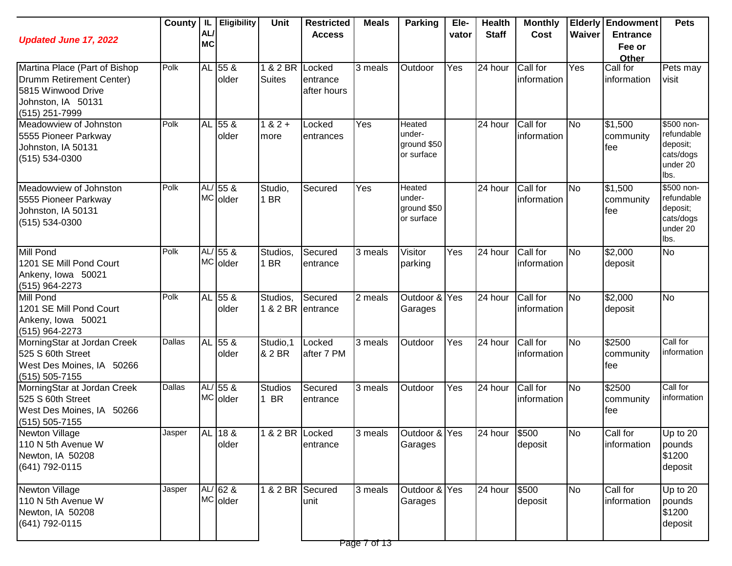| <b>Updated June 17, 2022</b>                                                                                            |        | AL/<br><b>MC</b> | County   IL   Eligibility | Unit                             | <b>Restricted</b><br><b>Access</b> | <b>Meals</b> | <b>Parking</b>                                       | Ele-<br>vator | <b>Health</b><br><b>Staff</b> | <b>Monthly</b><br>Cost  | Waiver    | <b>Elderly Endowment</b><br><b>Entrance</b><br>Fee or<br>Other | <b>Pets</b>                                                           |
|-------------------------------------------------------------------------------------------------------------------------|--------|------------------|---------------------------|----------------------------------|------------------------------------|--------------|------------------------------------------------------|---------------|-------------------------------|-------------------------|-----------|----------------------------------------------------------------|-----------------------------------------------------------------------|
| Martina Place (Part of Bishop<br>Drumm Retirement Center)<br>5815 Winwood Drive<br>Johnston, IA 50131<br>(515) 251-7999 | Polk   |                  | AL 55 &<br>older          | 1 & 2 BR Locked<br><b>Suites</b> | entrance<br>after hours            | 3 meals      | Outdoor                                              | <b>T</b> es   | 24 hour                       | Call for<br>information | Yes       | Call for<br>information                                        | Pets may<br>visit                                                     |
| Meadowview of Johnston<br>5555 Pioneer Parkway<br>Johnston, IA 50131<br>$(515) 534-0300$                                | Polk   |                  | AL 55 &<br>older          | $182 +$<br>more                  | Locked<br>entrances                | Yes          | <b>Heated</b><br>under-<br>ground \$50<br>or surface |               | 24 hour                       | Call for<br>information | <b>No</b> | $\sqrt{$1,500}$<br>community<br>lfee                           | \$500 non-<br>refundable<br>deposit;<br>cats/dogs<br>under 20<br>lbs. |
| Meadowview of Johnston<br>5555 Pioneer Parkway<br>Johnston, IA 50131<br>$(515) 534-0300$                                | Polk   |                  | AL/ 55 &<br>MC older      | Studio,<br>1 BR                  | Secured                            | Yes          | <b>Heated</b><br>under-<br>ground \$50<br>or surface |               | 24 hour                       | Call for<br>information | No        | \$1,500<br>community<br>fee                                    | \$500 non-<br>refundable<br>deposit;<br>cats/dogs<br>under 20<br>lbs. |
| Mill Pond<br>1201 SE Mill Pond Court<br>Ankeny, Iowa 50021<br>$(515)$ 964-2273                                          | Polk   |                  | AL/ 55 &<br>MC older      | Studios,<br>1 BR                 | Secured<br>entrance                | 3 meals      | Visitor<br>parking                                   | Yes           | 24 hour                       | Call for<br>information | <b>No</b> | $\sqrt{$2,000}$<br>deposit                                     | <b>No</b>                                                             |
| Mill Pond<br>1201 SE Mill Pond Court<br>Ankeny, Iowa 50021<br>$(515)$ 964-2273                                          | Polk   |                  | AL 55 &<br>older          | Studios,<br>1 & 2 BR             | Secured<br>entrance                | 2 meals      | Outdoor & Yes<br>Garages                             |               | 24 hour                       | Call for<br>information | <b>No</b> | $\sqrt{$2,000}$<br>deposit                                     | <b>No</b>                                                             |
| MorningStar at Jordan Creek<br>525 S 60th Street<br>West Des Moines, IA 50266<br>$(515) 505 - 7155$                     | Dallas |                  | AL 55 &<br>older          | Studio, 1<br><b>&amp; 2 BR</b>   | Locked<br>after 7 PM               | 3 meals      | Outdoor                                              | Yes           | 24 hour                       | Call for<br>information | <b>No</b> | \$2500<br>community<br>lfee                                    | Call for<br>information                                               |
| MorningStar at Jordan Creek<br>525 S 60th Street<br>West Des Moines, IA 50266<br>(515) 505-7155                         | Dallas |                  | AL/ 55 &<br>MC older      | Studios<br>1 BR                  | Secured<br>entrance                | 3 meals      | Outdoor                                              | Yes           | 24 hour                       | Call for<br>information | <b>No</b> | \$2500<br>community<br>fee                                     | Call for<br>information                                               |
| <b>Newton Village</b><br>110 N 5th Avenue W<br>Newton, IA 50208<br>(641) 792-0115                                       | Jasper |                  | AL 18 &<br>older          | 1 & 2 BR Locked                  | entrance                           |              | Garages                                              |               |                               | deposit                 | No        | Call for<br>information                                        | Up to 20<br>pounds<br>\$1200<br>deposit                               |
| Newton Village<br>110 N 5th Avenue W<br>Newton, IA 50208<br>(641) 792-0115                                              | Jasper |                  | $AL/62$ &<br>MC older     | 1 & 2 BR Secured                 | unit                               | 3 meals      | Outdoor & Yes<br>Garages                             |               | 24 hour                       | \$500<br>deposit        | <b>No</b> | Call for<br>information                                        | Up to 20<br>pounds<br>\$1200<br>deposit                               |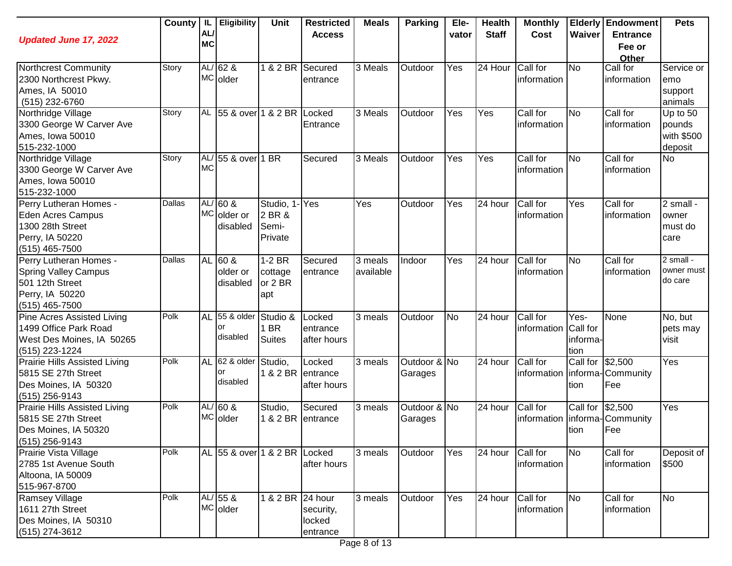| <b>Updated June 17, 2022</b>                                                                                  | County | IL<br>AL/<br><b>MC</b> | <b>Eligibility</b>                   | Unit                                    | <b>Restricted</b><br><b>Access</b>         | <b>Meals</b>         | <b>Parking</b>          | Ele-<br>vator     | <b>Health</b><br><b>Staff</b> | <b>Monthly</b><br>Cost           | Waiver                   | <b>Elderly Endowment</b><br><b>Entrance</b><br>Fee or<br>Other | <b>Pets</b>                                 |
|---------------------------------------------------------------------------------------------------------------|--------|------------------------|--------------------------------------|-----------------------------------------|--------------------------------------------|----------------------|-------------------------|-------------------|-------------------------------|----------------------------------|--------------------------|----------------------------------------------------------------|---------------------------------------------|
| Northcrest Community<br>2300 Northcrest Pkwy.<br>Ames, IA 50010<br>(515) 232-6760                             | Story  |                        | AL/ $62$ &<br>MC older               | 1 & 2 BR                                | Secured<br>entrance                        | 3 Meals              | Outdoor                 | Yes               | 24 Hour                       | Call for<br>information          | <b>No</b>                | Call for<br>information                                        | Service or<br>emo<br>support<br>animals     |
| Northridge Village<br>3300 George W Carver Ave<br>Ames, Iowa 50010<br>515-232-1000                            | Story  |                        | AL 55 & over 1 & 2 BR Locked         |                                         | Entrance                                   | 3 Meals              | Outdoor                 | Yes               | Yes                           | Call for<br>information          | <b>No</b>                | Call for<br>information                                        | Up to 50<br>pounds<br>with \$500<br>deposit |
| Northridge Village<br>3300 George W Carver Ave<br>Ames, Iowa 50010<br>515-232-1000                            | Story  | <b>MC</b>              | AL/ 55 & over 1 BR                   |                                         | Secured                                    | 3 Meals              | Outdoor                 | Yes               | Yes                           | Call for<br>information          | <b>No</b>                | Call for<br>information                                        | <b>No</b>                                   |
| Perry Lutheran Homes -<br><b>Eden Acres Campus</b><br>1300 28th Street<br>Perry, IA 50220<br>$(515)$ 465-7500 | Dallas |                        | $AL/60$ &<br>MC older or<br>disabled | Studio, 1<br>2 BR &<br>Semi-<br>Private | Yes                                        | Yes                  | Outdoor                 | Yes               | 24 hour                       | Call for<br>information          | Yes                      | Call for<br>information                                        | 2 small -<br>owner<br>must do<br>care       |
| Perry Lutheran Homes -<br><b>Spring Valley Campus</b><br>501 12th Street<br>Perry, IA 50220<br>(515) 465-7500 | Dallas | <b>AL</b>              | $160$ &<br>older or<br>disabled      | $1-2$ BR<br>cottage<br>or 2 BR<br>apt   | Secured<br>entrance                        | 3 meals<br>available | Indoor                  | Yes               | $\overline{24}$ hour          | Call for<br>information          | <b>No</b>                | Call for<br>information                                        | 2 small -<br>owner must<br>do care          |
| <b>Pine Acres Assisted Living</b><br>1499 Office Park Road<br>West Des Moines, IA 50265<br>$(515)$ 223-1224   | Polk   | <b>AL</b>              | 55 & older<br>or<br>disabled         | Studio &<br>1 BR<br><b>Suites</b>       | Locked<br>entrance<br>after hours          | 3 meals              | Outdoor                 | <b>No</b>         | 24 hour                       | Call for<br>information Call for | Yes-<br>informa-<br>tion | None                                                           | No, but<br>pets may<br>visit                |
| <b>Prairie Hills Assisted Living</b><br>5815 SE 27th Street<br>Des Moines, IA 50320<br>$(515)$ 256-9143       | Polk   | <b>AL</b>              | 62 & older<br>or<br>disabled         | Studio,                                 | Locked<br>1 & 2 BR entrance<br>after hours | $\overline{3}$ meals | Outdoor & No<br>Garages |                   | 24 hour                       | Call for                         | Call for \$2,500<br>tion | information   informa- Community<br>Fee                        | Yes                                         |
| <b>Prairie Hills Assisted Living</b><br>5815 SE 27th Street<br>Des Moines, IA 50320<br>(515) 256-9143         | Polk   |                        | $AL/60$ &<br>MC older                | Studio,<br>1 & 2 BR                     | Secured<br>entrance                        | 3 meals              | Outdoor & No<br>Garages |                   | 24 hour                       | Call for                         | Call for<br>tion         | \$2,500<br>information   informa- Community<br>Fee             | Yes                                         |
| Prairie Vista Village<br>2785 1st Avenue South<br>Altoona, IA 50009<br>515-967-8700                           | Polk   |                        | AL 55 & over 1 & 2 BR Locked         |                                         | after hours                                | $\overline{3}$ meals | Outdoor                 | Yes               | 24 hour                       | Call for<br>information          | <b>No</b>                | Call for<br>information                                        | Deposit of<br>\$500                         |
| Ramsey Village<br>1611 27th Street<br>Des Moines, IA 50310<br>(515) 274-3612                                  | Polk   |                        | AL/ 55 &<br>MC older                 | 1 & 2 BR 24 hour                        | security,<br>locked<br>entrance            | $\overline{3}$ meals | Outdoor                 | $\overline{Y}$ es | 24 hour                       | Call for<br>information          | <b>No</b>                | Call for<br>information                                        | No                                          |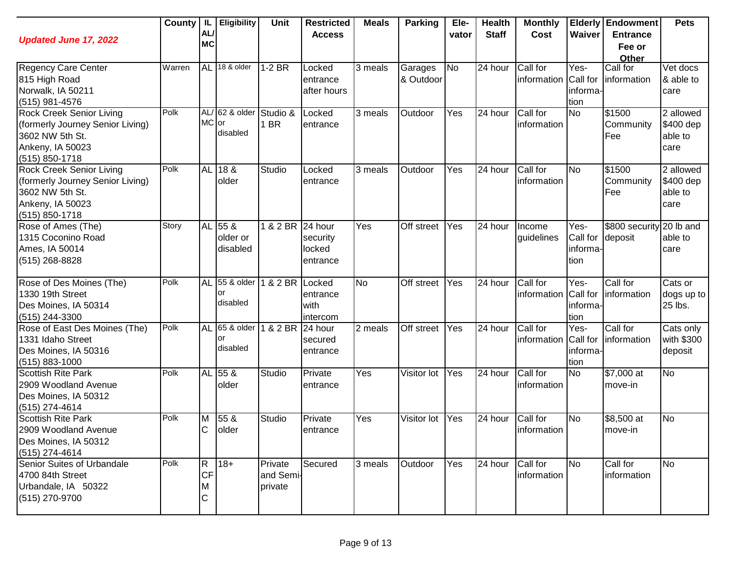| <b>Updated June 17, 2022</b>                                                                                                     | County | AL<br><b>MC</b>                       | IL   Eligibility                | Unit                            | <b>Restricted</b><br><b>Access</b>        | <b>Meals</b>         | <b>Parking</b>       | Ele-<br>vator | <b>Health</b><br><b>Staff</b> | <b>Monthly</b><br>Cost  | Waiver                               | <b>Elderly Endowment</b><br><b>Entrance</b><br>Fee or<br>Other | <b>Pets</b>                               |
|----------------------------------------------------------------------------------------------------------------------------------|--------|---------------------------------------|---------------------------------|---------------------------------|-------------------------------------------|----------------------|----------------------|---------------|-------------------------------|-------------------------|--------------------------------------|----------------------------------------------------------------|-------------------------------------------|
| <b>Regency Care Center</b><br>815 High Road<br>Norwalk, IA 50211<br>(515) 981-4576                                               | Warren | <b>AL</b>                             | 18 & older                      | $1-2$ BR                        | Locked<br>entrance<br>after hours         | 3 meals              | Garages<br>& Outdoor | No            | 24 hour                       | Call for<br>information | Yes-<br>Call for<br>informa-<br>tion | Call for<br>information                                        | Vet docs<br>& able to<br>care             |
| <b>Rock Creek Senior Living</b><br>(formerly Journey Senior Living)<br>3602 NW 5th St.<br>Ankeny, IA 50023<br>(515) 850-1718     | Polk   | MC or                                 | AL/ 62 & older<br>disabled      | Studio &<br>1 BR                | Locked<br>entrance                        | $\overline{3}$ meals | Outdoor              | Yes           | $\overline{2}4$ hour          | Call for<br>information | <b>No</b>                            | \$1500<br>Community<br>Fee                                     | 2 allowed<br>\$400 dep<br>able to<br>care |
| <b>Rock Creek Senior Living</b><br>(formerly Journey Senior Living)<br>3602 NW 5th St.<br>Ankeny, IA 50023<br>$(515) 850 - 1718$ | Polk   |                                       | AL 18 &<br>older                | Studio                          | Locked<br>entrance                        | 3 meals              | Outdoor              | Yes           | 24 hour                       | Call for<br>information | No                                   | \$1500<br>Community<br>Fee                                     | 2 allowed<br>\$400 dep<br>able to<br>care |
| Rose of Ames (The)<br>1315 Coconino Road<br>Ames, IA 50014<br>(515) 268-8828                                                     | Story  |                                       | AL 55 &<br>older or<br>disabled | $\overline{18}$ 2 BR            | 24 hour<br>security<br>locked<br>entrance | Yes                  | Off street           | Yes           | 24 hour                       | Income<br>guidelines    | Yes-<br>Call for<br>informa-<br>tion | \$800 security 20 lb and<br>deposit                            | able to<br>care                           |
| Rose of Des Moines (The)<br>1330 19th Street<br>Des Moines, IA 50314<br>(515) 244-3300                                           | Polk   | <b>AL</b>                             | 55 & older<br>or<br>disabled    | 1 & 2 BR                        | Locked<br>entrance<br>with<br>intercom    | <b>No</b>            | Off street           | Yes           | 24 hour                       | Call for<br>information | Yes-<br>Call for<br>informa-<br>tion | Call for<br>information                                        | Cats or<br>dogs up to<br>25 lbs.          |
| Rose of East Des Moines (The)<br>1331 Idaho Street<br>Des Moines, IA 50316<br>$(515) 883 - 1000$                                 | Polk   | AL                                    | 65 & older<br>or<br>disabled    | 1 & 2 BR                        | 24 hour<br>secured<br>entrance            | 2 meals              | Off street           | <b>Yes</b>    | 24 hour                       | Call for<br>information | Yes-<br>Call for<br>informa-<br>tion | Call for<br>information                                        | Cats only<br>with \$300<br>deposit        |
| <b>Scottish Rite Park</b><br>2909 Woodland Avenue<br>Des Moines, IA 50312<br>(515) 274-4614                                      | Polk   |                                       | AL 55 &<br>older                | Studio                          | Private<br>entrance                       | Yes                  | Visitor lot          | Yes           | 24 hour                       | Call for<br>information | <b>No</b>                            | $\sqrt{$7,000}$ at<br>move-in                                  | <b>No</b>                                 |
| <b>Scottish Rite Park</b><br>2909 Woodland Avenue<br>Des Moines, IA 50312<br>(515) 274-4614                                      | Polk   | M<br>IC.                              | 55 &<br>older                   | Studio                          | Private<br>entrance                       | Yes                  | Visitor lot          | Yes           | 24 hour                       | Call for<br>information | <b>No</b>                            | \$8,500 at<br>move-in                                          | <b>No</b>                                 |
| Senior Suites of Urbandale<br>4700 84th Street<br>Urbandale, IA 50322<br>(515) 270-9700                                          | Polk   | $ \mathsf{R} $<br><b>CF</b><br>M<br>C | $ 18+$                          | Private<br>and Semi-<br>private | Secured                                   | 3 meals              | Outdoor              | Yes           | 24 hour                       | Call for<br>information | <b>No</b>                            | Call for<br>information                                        | <b>No</b>                                 |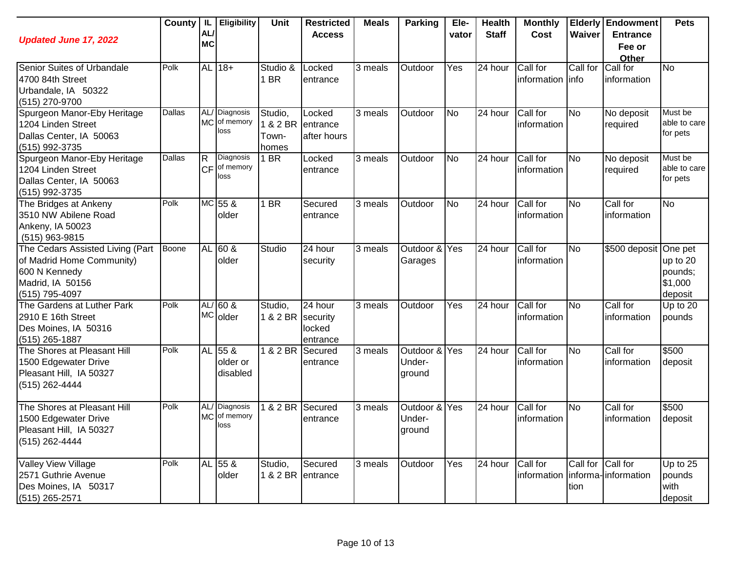| <b>Updated June 17, 2022</b>                                                                                         | County | -IL<br>AL/<br><b>MC</b>               | <b>Eligibility</b>                    | Unit                                  | <b>Restricted</b><br><b>Access</b> | <b>Meals</b>         | <b>Parking</b>                    | Ele-<br>vator | <b>Health</b><br><b>Staff</b> | <b>Monthly</b><br>Cost                      | Waiver                    | <b>Elderly Endowment</b><br><b>Entrance</b><br>Fee or<br>Other | <b>Pets</b>                               |
|----------------------------------------------------------------------------------------------------------------------|--------|---------------------------------------|---------------------------------------|---------------------------------------|------------------------------------|----------------------|-----------------------------------|---------------|-------------------------------|---------------------------------------------|---------------------------|----------------------------------------------------------------|-------------------------------------------|
| Senior Suites of Urbandale<br>4700 84th Street<br>Urbandale, IA 50322<br>(515) 270-9700                              | Polk   |                                       | AL 18+                                | Studio &<br>1 BR                      | Locked<br>entrance                 | 3 meals              | Outdoor                           | Yes           | 24 hour                       | Call for<br>information info                | Call for                  | Call for<br>linformation                                       | No                                        |
| Spurgeon Manor-Eby Heritage<br>1204 Linden Street<br>Dallas Center, IA 50063<br>(515) 992-3735                       | Dallas |                                       | AL/ Diagnosis<br>MC of memory<br>loss | Studio,<br>1 & 2 BR<br>Town-<br>homes | Locked<br>entrance<br>after hours  | $\overline{3}$ meals | Outdoor                           | <b>No</b>     | 24 hour                       | Call for<br>information                     | No                        | No deposit<br>required                                         | Must be<br>able to care<br>for pets       |
| Spurgeon Manor-Eby Heritage<br>1204 Linden Street<br>Dallas Center, IA 50063<br>(515) 992-3735                       | Dallas | $\overline{\mathsf{R}}$<br><b>ICF</b> | Diagnosis<br>of memory<br>loss        | 1 BR                                  | Locked<br>entrance                 | 3 meals              | Outdoor                           | <b>No</b>     | 24 hour                       | Call for<br>information                     | <b>No</b>                 | No deposit<br>required                                         | Must be<br>able to care<br>for pets       |
| The Bridges at Ankeny<br>3510 NW Abilene Road<br>Ankeny, IA 50023<br>(515) 963-9815                                  | Polk   |                                       | MC 55 &<br>older                      | 1 BR                                  | Secured<br>entrance                | 3 meals              | Outdoor                           | <b>No</b>     | 24 hour                       | Call for<br>information                     | No                        | Call for<br>information                                        | <b>No</b>                                 |
| The Cedars Assisted Living (Part<br>of Madrid Home Community)<br>600 N Kennedy<br>Madrid, IA 50156<br>(515) 795-4097 | Boone  | <b>AL</b>                             | 60 <sub>8</sub><br>older              | Studio                                | 24 hour<br>security                | $\overline{3}$ meals | Outdoor &<br>Garages              | Yes           | 24 hour                       | Call for<br>information                     | No                        | \$500 deposit One pet                                          | up to 20<br>pounds;<br>\$1,000<br>deposit |
| The Gardens at Luther Park<br>2910 E 16th Street<br>Des Moines, IA 50316<br>$(515)$ 265-1887                         | Polk   |                                       | $AL/60$ &<br>MC older                 | Studio,<br>1 & 2 BR security          | 24 hour<br>locked<br>entrance      | 3 meals              | Outdoor                           | Yes           | 24 hour                       | Call for<br>information                     | <b>No</b>                 | Call for<br>information                                        | Up to 20<br>pounds                        |
| The Shores at Pleasant Hill<br>1500 Edgewater Drive<br>Pleasant Hill, IA 50327<br>(515) 262-4444                     | Polk   |                                       | AL 55 &<br>older or<br>disabled       | $1 & 2$ BR                            | Secured<br>entrance                | 3 meals              | Outdoor & Yes<br>Under-<br>ground |               | $\overline{24}$ hour          | Call for<br>information                     | No                        | Call for<br>information                                        | \$500<br>deposit                          |
| The Shores at Pleasant Hill<br>1500 Edgewater Drive<br>Pleasant Hill, IA 50327<br>(515) 262-4444                     | Polk   |                                       | AL/ Diagnosis<br>MC of memory<br>loss | 1 & 2 BR                              | Secured<br>entrance                | 3 meals              | Outdoor &<br>Under-<br>ground     | Yes           | 24 hour                       | Call for<br>information                     | No                        | Call for<br>information                                        | \$500<br>deposit                          |
| <b>Valley View Village</b><br>2571 Guthrie Avenue<br>Des Moines, IA 50317<br>(515) 265-2571                          | Polk   |                                       | AL 55 &<br>older                      | Studio,                               | Secured<br>1 & 2 BR entrance       | 3 meals              | Outdoor                           | Yes           | $\overline{2}4$ hour          | Call for<br>information informa-information | Call for Call for<br>tion |                                                                | Up to 25<br>pounds<br>with<br>deposit     |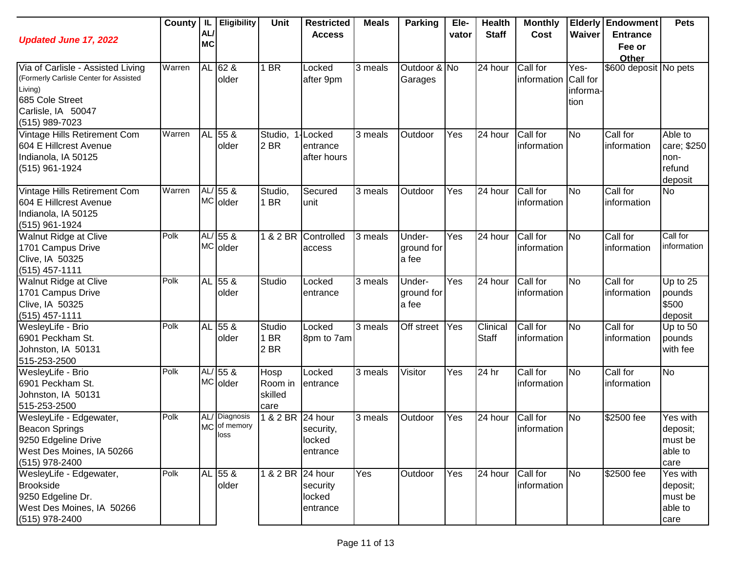| <b>Updated June 17, 2022</b>                                                                                                                      | County   IL | AL<br><b>MC</b>  | <b>Eligibility</b>                    | Unit                               | <b>Restricted</b><br><b>Access</b>       | <b>Meals</b> | <b>Parking</b>                | Ele-<br>vator | <b>Health</b><br><b>Staff</b> | <b>Monthly</b><br>Cost  | Waiver                               | <b>Elderly Endowment</b><br><b>Entrance</b><br>Fee or<br>Other | <b>Pets</b>                                         |
|---------------------------------------------------------------------------------------------------------------------------------------------------|-------------|------------------|---------------------------------------|------------------------------------|------------------------------------------|--------------|-------------------------------|---------------|-------------------------------|-------------------------|--------------------------------------|----------------------------------------------------------------|-----------------------------------------------------|
| Via of Carlisle - Assisted Living<br>(Formerly Carlisle Center for Assisted<br>Living)<br>685 Cole Street<br>Carlisle, IA 50047<br>(515) 989-7023 | Warren      | <b>AL</b>        | 62 &<br>older                         | 1 BR                               | Locked<br>after 9pm                      | 3 meals      | Outdoor & No<br>Garages       |               | 24 hour                       | Call for<br>information | Yes-<br>Call for<br>informa-<br>tion | \$600 deposit No pets                                          |                                                     |
| Vintage Hills Retirement Com<br>604 E Hillcrest Avenue<br>Indianola, IA 50125<br>(515) 961-1924                                                   | Warren      | <b>AL</b>        | 55 &<br>older                         | Studio,<br>2 BR                    | <b>Locked</b><br>entrance<br>after hours | 3 meals      | Outdoor                       | Yes           | 24 hour                       | Call for<br>information | <b>No</b>                            | Call for<br>information                                        | Able to<br>care; \$250<br>non-<br>refund<br>deposit |
| Vintage Hills Retirement Com<br>604 E Hillcrest Avenue<br>Indianola, IA 50125<br>(515) 961-1924                                                   | Warren      | AL/              | $155 \&$<br>MC older                  | Studio,<br>1 BR                    | Secured<br>unit                          | 3 meals      | Outdoor                       | Yes           | 24 hour                       | Call for<br>information | <b>No</b>                            | Call for<br>information                                        | No                                                  |
| <b>Walnut Ridge at Clive</b><br>1701 Campus Drive<br>Clive, IA 50325<br>$(515)$ 457-1111                                                          | Polk        | AL/              | 55 &<br>MC older                      | 1 & 2 BR                           | Controlled<br>access                     | 3 meals      | Under-<br>ground for<br>a fee | Yes           | 24 hour                       | Call for<br>information | <b>No</b>                            | Call for<br>information                                        | Call for<br>information                             |
| Walnut Ridge at Clive<br>1701 Campus Drive<br>Clive, IA 50325<br>$(515)$ 457-1111                                                                 | Polk        | AL               | 55 &<br>older                         | Studio                             | Locked<br>entrance                       | 3 meals      | Under-<br>ground for<br>a fee | Yes           | 24 hour                       | Call for<br>information | <b>No</b>                            | Call for<br>information                                        | Up to 25<br>pounds<br>\$500<br>deposit              |
| WesleyLife - Brio<br>6901 Peckham St.<br>Johnston, IA 50131<br>515-253-2500                                                                       | Polk        | AL               | 55 &<br>older                         | Studio<br>1 BR<br>2 BR             | Locked<br>8pm to 7am                     | 3 meals      | <b>Off street</b>             | Yes           | Clinical<br><b>Staff</b>      | Call for<br>information | <b>No</b>                            | Call for<br>information                                        | Up to 50<br>pounds<br>with fee                      |
| WesleyLife - Brio<br>6901 Peckham St.<br>Johnston, IA 50131<br>515-253-2500                                                                       | Polk        | AL/<br><b>MC</b> | 55 &<br>older                         | Hosp<br>Room in<br>skilled<br>care | Locked<br>entrance                       | 3 meals      | Visitor                       | Yes           | 24 hr                         | Call for<br>information | <b>No</b>                            | Call for<br>information                                        | <b>No</b>                                           |
| WesleyLife - Edgewater,<br><b>Beacon Springs</b><br>9250 Edgeline Drive<br>West Des Moines, IA 50266<br>(515) 978-2400                            | Polk        | AL/<br><b>MC</b> | <b>Diagnosis</b><br>of memory<br>loss | & 2 BR 24 hour                     | security,<br>locked<br>entrance          | 3 meals      | Outdoor                       | Yes           | 24 hour                       | Call for<br>information | <b>No</b>                            | \$2500 fee                                                     | Yes with<br>deposit;<br>must be<br>able to<br>care  |
| WesleyLife - Edgewater,<br><b>Brookside</b><br>9250 Edgeline Dr.<br>West Des Moines, IA 50266<br>(515) 978-2400                                   | Polk        |                  | AL 55 &<br>older                      | 1 & 2 BR 24 hour                   | security<br>locked<br>entrance           | Yes          | Outdoor                       | Yes           | 24 hour                       | Call for<br>information | <b>No</b>                            | \$2500 fee                                                     | Yes with<br>deposit;<br>must be<br>able to<br>care  |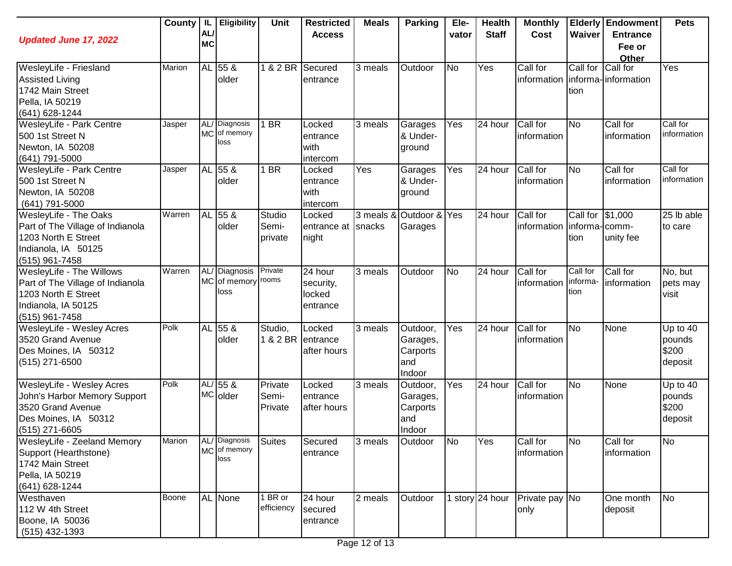| <b>Updated June 17, 2022</b>                                                                                                       | County        | -IL.<br>AL/<br><b>MC</b> | Eligibility                           | Unit                        | <b>Restricted</b><br><b>Access</b>         | <b>Meals</b> | <b>Parking</b>                                    | Ele-<br>vator | <b>Health</b><br><b>Staff</b> | <b>Monthly</b><br>Cost                         | Waiver                       | <b>Elderly Endowment</b><br><b>Entrance</b><br>Fee or<br>Other | <b>Pets</b>                            |
|------------------------------------------------------------------------------------------------------------------------------------|---------------|--------------------------|---------------------------------------|-----------------------------|--------------------------------------------|--------------|---------------------------------------------------|---------------|-------------------------------|------------------------------------------------|------------------------------|----------------------------------------------------------------|----------------------------------------|
| WesleyLife - Friesland<br><b>Assisted Living</b><br>1742 Main Street<br>Pella, IA 50219<br>(641) 628-1244                          | Marion        |                          | AL 55 &<br>older                      | 1 & 2 BR Secured            | entrance                                   | 3 meals      | Outdoor                                           | <b>No</b>     | Yes                           | Call for<br>information   informa- information | Call for<br>tion             | Call for                                                       | Yes                                    |
| WesleyLife - Park Centre<br>500 1st Street N<br>Newton, IA 50208<br>(641) 791-5000                                                 | Jasper        |                          | AL/ Diagnosis<br>MC of memory<br>loss | 1 BR                        | Locked<br>entrance<br>with<br>intercom     | 3 meals      | Garages<br>& Under-<br>ground                     | Yes           | 24 hour                       | Call for<br>information                        | <b>No</b>                    | Call for<br>information                                        | Call for<br>information                |
| WesleyLife - Park Centre<br>500 1st Street N<br>Newton, IA 50208<br>$(641)$ 791-5000                                               | Jasper        |                          | AL 55 &<br>older                      | 1 BR                        | Locked<br>entrance<br>with<br>intercom     | Yes          | Garages<br>& Under-<br>ground                     | Yes           | 24 hour                       | Call for<br>information                        | <b>No</b>                    | Call for<br>information                                        | Call for<br>information                |
| <b>WesleyLife - The Oaks</b><br>Part of The Village of Indianola<br>1203 North E Street<br>Indianola, IA 50125<br>$(515)$ 961-7458 | Warren        |                          | AL 55 &<br>older                      | Studio<br>Semi-<br>private  | Locked<br>entrance at<br>night             | snacks       | 3 meals & Outdoor & Yes<br>Garages                |               | 24 hour                       | Call for<br>information   informa- comm-       | Call for \$1,000<br>tion     | unity fee                                                      | 25 lb able<br>to care                  |
| WesleyLife - The Willows<br>Part of The Village of Indianola<br>1203 North E Street<br>Indianola, IA 50125<br>(515) 961-7458       | Warren        |                          | AL/ Diagnosis<br>MC of memory<br>loss | Private<br>rooms            | 24 hour<br>security,<br>locked<br>entrance | 3 meals      | Outdoor                                           | <b>No</b>     | 24 hour                       | Call for<br>information                        | Call for<br>informa-<br>tion | Call for<br>information                                        | No, but<br>pets may<br>visit           |
| <b>WesleyLife - Wesley Acres</b><br>3520 Grand Avenue<br>Des Moines, IA 50312<br>(515) 271-6500                                    | Polk          |                          | AL 55 &<br>older                      | Studio,                     | Locked<br>1 & 2 BR entrance<br>after hours | 3 meals      | Outdoor,<br>Garages,<br>Carports<br>and<br>Indoor | Yes           | 24 hour                       | Call for<br>information                        | <b>No</b>                    | None                                                           | Up to 40<br>pounds<br>\$200<br>deposit |
| WesleyLife - Wesley Acres<br>John's Harbor Memory Support<br>3520 Grand Avenue<br>Des Moines, IA 50312<br>$(515)$ 271-6605         | Polk          |                          | $AL/55$ &<br>MC older                 | Private<br>Semi-<br>Private | Locked<br>entrance<br>after hours          | 3 meals      | Outdoor,<br>Garages,<br>Carports<br>and<br>Indoor | Yes           | 24 hour                       | Call for<br>information                        | <b>No</b>                    | None                                                           | Up to 40<br>pounds<br>\$200<br>deposit |
| WesleyLife - Zeeland Memory<br>Support (Hearthstone)<br>1742 Main Street<br>Pella, IA 50219<br>(641) 628-1244                      | <b>Marion</b> |                          | AL/ Diagnosis<br>MC of memory<br>loss | <b>Suites</b>               | Secured<br>entrance                        | 3 meals      | Outdoor                                           | <b>No</b>     | Yes                           | Call for<br>information                        | <b>No</b>                    | Call for<br>information                                        | No                                     |
| Westhaven<br>112 W 4th Street<br>Boone, IA 50036<br>$(515)$ 432-1393                                                               | Boone         |                          | AL None                               | I BR or<br>efficiency       | 24 hour<br>secured<br>entrance             | 2 meals      | Outdoor                                           |               | 1 story 24 hour               | Private pay No<br>only                         |                              | One month<br>deposit                                           | No                                     |